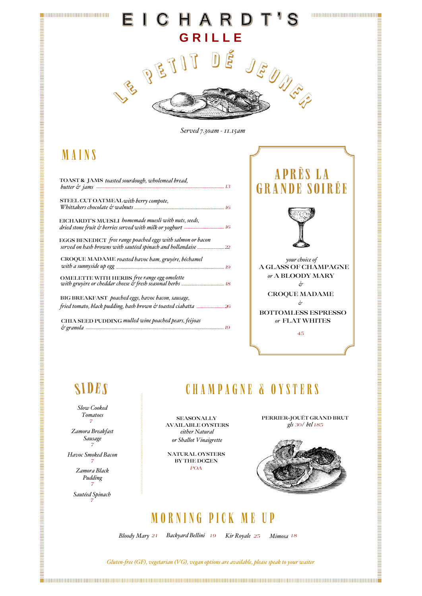

Zamora Breakfast

**SEASONALLY AVAILABLE OYSTERS** either Natural or Shallot Vinaigrette

PERRIER-JOUËT GRAND BRUT gls 30/ btl 185

CHAMPAGNE & OYSTERS